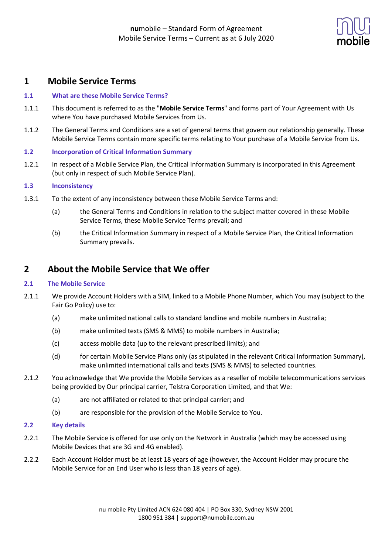

## **1 Mobile Service Terms**

### **1.1 What are these Mobile Service Terms?**

- 1.1.1 This document is referred to as the "**Mobile Service Terms**" and forms part of Your Agreement with Us where You have purchased Mobile Services from Us.
- 1.1.2 The General Terms and Conditions are a set of general terms that govern our relationship generally. These Mobile Service Terms contain more specific terms relating to Your purchase of a Mobile Service from Us.

### **1.2 Incorporation of Critical Information Summary**

1.2.1 In respect of a Mobile Service Plan, the Critical Information Summary is incorporated in this Agreement (but only in respect of such Mobile Service Plan).

### **1.3 Inconsistency**

- 1.3.1 To the extent of any inconsistency between these Mobile Service Terms and:
	- (a) the General Terms and Conditions in relation to the subject matter covered in these Mobile Service Terms, these Mobile Service Terms prevail; and
	- (b) the Critical Information Summary in respect of a Mobile Service Plan, the Critical Information Summary prevails.

## **2 About the Mobile Service that We offer**

### **2.1 The Mobile Service**

- 2.1.1 We provide Account Holders with a SIM, linked to a Mobile Phone Number, which You may (subject to the Fair Go Policy) use to:
	- (a) make unlimited national calls to standard landline and mobile numbers in Australia;
	- (b) make unlimited texts (SMS & MMS) to mobile numbers in Australia;
	- (c) access mobile data (up to the relevant prescribed limits); and
	- (d) for certain Mobile Service Plans only (as stipulated in the relevant Critical Information Summary), make unlimited international calls and texts (SMS & MMS) to selected countries.
- 2.1.2 You acknowledge that We provide the Mobile Services as a reseller of mobile telecommunications services being provided by Our principal carrier, Telstra Corporation Limited, and that We:
	- (a) are not affiliated or related to that principal carrier; and
	- (b) are responsible for the provision of the Mobile Service to You.

### **2.2 Key details**

- 2.2.1 The Mobile Service is offered for use only on the Network in Australia (which may be accessed using Mobile Devices that are 3G and 4G enabled).
- 2.2.2 Each Account Holder must be at least 18 years of age (however, the Account Holder may procure the Mobile Service for an End User who is less than 18 years of age).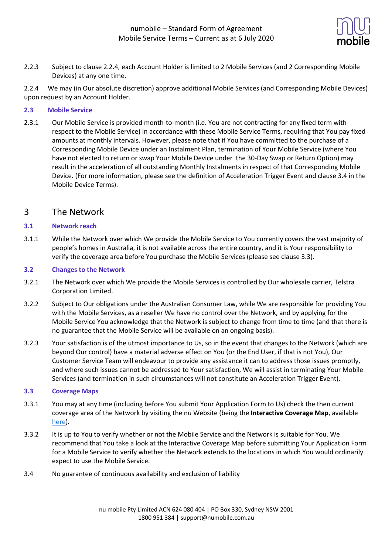

2.2.3 Subject to clause 2.2.4, each Account Holder is limited to 2 Mobile Services (and 2 Corresponding Mobile Devices) at any one time.

2.2.4 We may (in Our absolute discretion) approve additional Mobile Services (and Corresponding Mobile Devices) upon request by an Account Holder.

### **2.3 Mobile Service**

2.3.1 Our Mobile Service is provided month-to-month (i.e. You are not contracting for any fixed term with respect to the Mobile Service) in accordance with these Mobile Service Terms, requiring that You pay fixed amounts at monthly intervals. However, please note that if You have committed to the purchase of a Corresponding Mobile Device under an Instalment Plan, termination of Your Mobile Service (where You have not elected to return or swap Your Mobile Device under the 30-Day Swap or Return Option) may result in the acceleration of all outstanding Monthly Instalments in respect of that Corresponding Mobile Device. (For more information, please see the definition of Acceleration Trigger Event and clause 3.4 in the Mobile Device Terms).

### 3 The Network

### **3.1 Network reach**

3.1.1 While the Network over which We provide the Mobile Service to You currently covers the vast majority of people's homes in Australia, it is not available across the entire country, and it is Your responsibility to verify the coverage area before You purchase the Mobile Services (please see clause 3.3).

### **3.2 Changes to the Network**

- 3.2.1 The Network over which We provide the Mobile Services is controlled by Our wholesale carrier, Telstra Corporation Limited.
- 3.2.2 Subject to Our obligations under the Australian Consumer Law, while We are responsible for providing You with the Mobile Services, as a reseller We have no control over the Network, and by applying for the Mobile Service You acknowledge that the Network is subject to change from time to time (and that there is no guarantee that the Mobile Service will be available on an ongoing basis).
- 3.2.3 Your satisfaction is of the utmost importance to Us, so in the event that changes to the Network (which are beyond Our control) have a material adverse effect on You (or the End User, if that is not You), Our Customer Service Team will endeavour to provide any assistance it can to address those issues promptly, and where such issues cannot be addressed to Your satisfaction, We will assist in terminating Your Mobile Services (and termination in such circumstances will not constitute an Acceleration Trigger Event).

### **3.3 Coverage Maps**

- 3.3.1 You may at any time (including before You submit Your Application Form to Us) check the then current coverage area of the Network by visiting the nu Website (being the **Interactive Coverage Map**, available here).
- 3.3.2 It is up to You to verify whether or not the Mobile Service and the Network is suitable for You. We recommend that You take a look at the Interactive Coverage Map before submitting Your Application Form for a Mobile Service to verify whether the Network extends to the locations in which You would ordinarily expect to use the Mobile Service.
- 3.4 No guarantee of continuous availability and exclusion of liability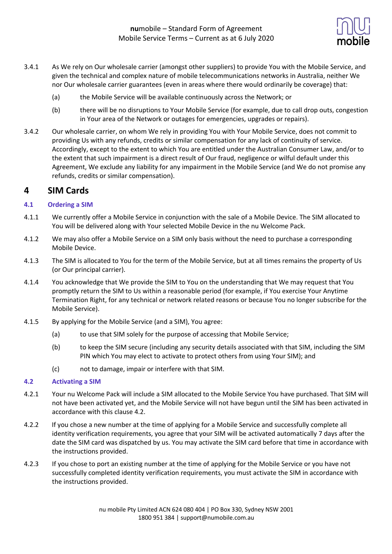

- 3.4.1 As We rely on Our wholesale carrier (amongst other suppliers) to provide You with the Mobile Service, and given the technical and complex nature of mobile telecommunications networks in Australia, neither We nor Our wholesale carrier guarantees (even in areas where there would ordinarily be coverage) that:
	- (a) the Mobile Service will be available continuously across the Network; or
	- (b) there will be no disruptions to Your Mobile Service (for example, due to call drop outs, congestion in Your area of the Network or outages for emergencies, upgrades or repairs).
- 3.4.2 Our wholesale carrier, on whom We rely in providing You with Your Mobile Service, does not commit to providing Us with any refunds, credits or similar compensation for any lack of continuity of service. Accordingly, except to the extent to which You are entitled under the Australian Consumer Law, and/or to the extent that such impairment is a direct result of Our fraud, negligence or wilful default under this Agreement, We exclude any liability for any impairment in the Mobile Service (and We do not promise any refunds, credits or similar compensation).

### **4 SIM Cards**

### **4.1 Ordering a SIM**

- 4.1.1 We currently offer a Mobile Service in conjunction with the sale of a Mobile Device. The SIM allocated to You will be delivered along with Your selected Mobile Device in the nu Welcome Pack.
- 4.1.2 We may also offer a Mobile Service on a SIM only basis without the need to purchase a corresponding Mobile Device.
- 4.1.3 The SIM is allocated to You for the term of the Mobile Service, but at all times remains the property of Us (or Our principal carrier).
- 4.1.4 You acknowledge that We provide the SIM to You on the understanding that We may request that You promptly return the SIM to Us within a reasonable period (for example, if You exercise Your Anytime Termination Right, for any technical or network related reasons or because You no longer subscribe for the Mobile Service).
- 4.1.5 By applying for the Mobile Service (and a SIM), You agree:
	- (a) to use that SIM solely for the purpose of accessing that Mobile Service;
	- (b) to keep the SIM secure (including any security details associated with that SIM, including the SIM PIN which You may elect to activate to protect others from using Your SIM); and
	- (c) not to damage, impair or interfere with that SIM.

### **4.2 Activating a SIM**

- 4.2.1 Your nu Welcome Pack will include a SIM allocated to the Mobile Service You have purchased. That SIM will not have been activated yet, and the Mobile Service will not have begun until the SIM has been activated in accordance with this clause 4.2.
- 4.2.2 If you chose a new number at the time of applying for a Mobile Service and successfully complete all identity verification requirements, you agree that your SIM will be activated automatically 7 days after the date the SIM card was dispatched by us. You may activate the SIM card before that time in accordance with the instructions provided.
- 4.2.3 If you chose to port an existing number at the time of applying for the Mobile Service or you have not successfully completed identity verification requirements, you must activate the SIM in accordance with the instructions provided.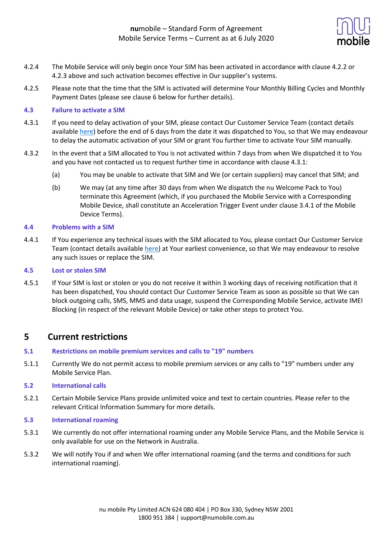

- 4.2.4 The Mobile Service will only begin once Your SIM has been activated in accordance with clause 4.2.2 or 4.2.3 above and such activation becomes effective in Our supplier's systems.
- 4.2.5 Please note that the time that the SIM is activated will determine Your Monthly Billing Cycles and Monthly Payment Dates (please see clause 6 below for further details).

### **4.3 Failure to activate a SIM**

- 4.3.1 If you need to delay activation of your SIM, please contact Our Customer Service Team (contact details available here) before the end of 6 days from the date it was dispatched to You, so that We may endeavour to delay the automatic activation of your SIM or grant You further time to activate Your SIM manually.
- 4.3.2 In the event that a SIM allocated to You is not activated within 7 days from when We dispatched it to You and you have not contacted us to request further time in accordance with clause 4.3.1:
	- (a) You may be unable to activate that SIM and We (or certain suppliers) may cancel that SIM; and
	- (b) We may (at any time after 30 days from when We dispatch the nu Welcome Pack to You) terminate this Agreement (which, if you purchased the Mobile Service with a Corresponding Mobile Device, shall constitute an Acceleration Trigger Event under clause 3.4.1 of the Mobile Device Terms).

#### **4.4 Problems with a SIM**

4.4.1 If You experience any technical issues with the SIM allocated to You, please contact Our Customer Service Team (contact details available here) at Your earliest convenience, so that We may endeavour to resolve any such issues or replace the SIM.

#### **4.5 Lost or stolen SIM**

4.5.1 If Your SIM is lost or stolen or you do not receive it within 3 working days of receiving notification that it has been dispatched, You should contact Our Customer Service Team as soon as possible so that We can block outgoing calls, SMS, MMS and data usage, suspend the Corresponding Mobile Service, activate IMEI Blocking (in respect of the relevant Mobile Device) or take other steps to protect You.

## **5 Current restrictions**

- **5.1 Restrictions on mobile premium services and calls to "19" numbers**
- 5.1.1 Currently We do not permit access to mobile premium services or any calls to "19" numbers under any Mobile Service Plan.

### **5.2 International calls**

- 5.2.1 Certain Mobile Service Plans provide unlimited voice and text to certain countries. Please refer to the relevant Critical Information Summary for more details.
- **5.3 International roaming**
- 5.3.1 We currently do not offer international roaming under any Mobile Service Plans, and the Mobile Service is only available for use on the Network in Australia.
- 5.3.2 We will notify You if and when We offer international roaming (and the terms and conditions for such international roaming).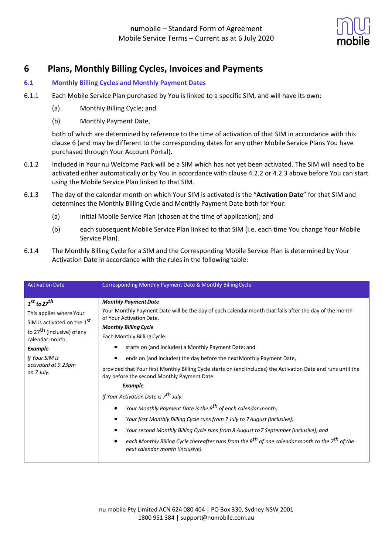

## **6 Plans, Monthly Billing Cycles, Invoices and Payments**

### **6.1 Monthly Billing Cycles and Monthly Payment Dates**

- 6.1.1 Each Mobile Service Plan purchased by You is linked to a specific SIM, and will have its own:
	- (a) Monthly Billing Cycle; and
	- (b) Monthly Payment Date,

both of which are determined by reference to the time of activation of that SIM in accordance with this clause 6 (and may be different to the corresponding dates for any other Mobile Service Plans You have purchased through Your Account Portal).

- 6.1.2 Included in Your nu Welcome Pack will be a SIM which has not yet been activated. The SIM will need to be activated either automatically or by You in accordance with clause 4.2.2 or 4.2.3 above before You can start using the Mobile Service Plan linked to that SIM.
- 6.1.3 The day of the calendar month on which Your SIM is activated is the "**Activation Date**" for that SIM and determines the Monthly Billing Cycle and Monthly Payment Date both for Your:
	- (a) initial Mobile Service Plan (chosen at the time of application); and
	- (b) each subsequent Mobile Service Plan linked to that SIM (i.e. each time You change Your Mobile Service Plan).
- 6.1.4 The Monthly Billing Cycle for a SIM and the Corresponding Mobile Service Plan is determined by Your Activation Date in accordance with the rules in the following table:

| <b>Activation Date</b>                                                                                                                                       | Corresponding Monthly Payment Date & Monthly Billing Cycle                                                                                                    |
|--------------------------------------------------------------------------------------------------------------------------------------------------------------|---------------------------------------------------------------------------------------------------------------------------------------------------------------|
|                                                                                                                                                              |                                                                                                                                                               |
| $1st$ to 27 <sup>th</sup><br>This applies where Your<br>SIM is activated on the 1 <sup>St</sup><br>to 27 <sup>th</sup> (inclusive) of any<br>calendar month. | <b>Monthly Payment Date</b>                                                                                                                                   |
|                                                                                                                                                              | Your Monthly Payment Date will be the day of each calendar month that falls after the day of the month                                                        |
|                                                                                                                                                              | of Your Activation Date.                                                                                                                                      |
|                                                                                                                                                              | <b>Monthly Billing Cycle</b>                                                                                                                                  |
|                                                                                                                                                              | Each Monthly Billing Cycle:                                                                                                                                   |
| Example                                                                                                                                                      | starts on (and includes) a Monthly Payment Date; and                                                                                                          |
| If Your SIM is<br>activated at 9.23pm<br>on 7 July.                                                                                                          | ends on (and includes) the day before the next Monthly Payment Date,                                                                                          |
|                                                                                                                                                              | provided that Your first Monthly Billing Cycle starts on (and includes) the Activation Date and runs until the<br>day before the second Monthly Payment Date. |
|                                                                                                                                                              | <b>Example</b>                                                                                                                                                |
|                                                                                                                                                              | If Your Activation Date is 7 <sup>th</sup> July:                                                                                                              |
|                                                                                                                                                              | Your Monthly Payment Date is the 8 <sup>th</sup> of each calendar month;<br>$\bullet$                                                                         |
|                                                                                                                                                              | Your first Monthly Billing Cycle runs from 7 July to 7 August (inclusive);                                                                                    |
|                                                                                                                                                              | Your second Monthly Billing Cycle runs from 8 August to 7 September (inclusive); and                                                                          |
|                                                                                                                                                              | each Monthly Billing Cycle thereafter runs from the 8 <sup>th</sup> of one calendar month to the 7 <sup>th</sup> of the<br>next calendar month (inclusive).   |
|                                                                                                                                                              |                                                                                                                                                               |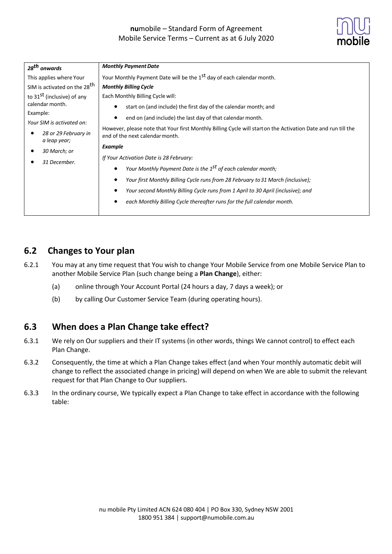

| 28 <sup>th</sup> onwards                                          | <b>Monthly Payment Date</b>                                                                                                                                                                                   |
|-------------------------------------------------------------------|---------------------------------------------------------------------------------------------------------------------------------------------------------------------------------------------------------------|
| This applies where Your                                           | Your Monthly Payment Date will be the 1 <sup>St</sup> day of each calendar month.                                                                                                                             |
| SIM is activated on the 28 <sup>th</sup>                          | <b>Monthly Billing Cycle</b>                                                                                                                                                                                  |
| to 31 <sup>st</sup> (inclusive) of any                            | Each Monthly Billing Cycle will:                                                                                                                                                                              |
| calendar month.                                                   | start on (and include) the first day of the calendar month; and                                                                                                                                               |
| Example:                                                          | end on (and include) the last day of that calendar month.<br>However, please note that Your first Monthly Billing Cycle will start on the Activation Date and run till the<br>end of the next calendar month. |
| Your SIM is activated on:<br>28 or 29 February in<br>a leap year; |                                                                                                                                                                                                               |
| 30 March; or                                                      | <b>Example</b>                                                                                                                                                                                                |
| 31 December.                                                      | If Your Activation Date is 28 February:                                                                                                                                                                       |
|                                                                   | Your Monthly Payment Date is the 1 <sup>st</sup> of each calendar month;                                                                                                                                      |
|                                                                   | Your first Monthly Billing Cycle runs from 28 February to 31 March (inclusive);                                                                                                                               |
|                                                                   | Your second Monthly Billing Cycle runs from 1 April to 30 April (inclusive); and                                                                                                                              |
|                                                                   | each Monthly Billing Cycle thereafter runs for the full calendar month.                                                                                                                                       |

## **6.2 Changes to Your plan**

- 6.2.1 You may at any time request that You wish to change Your Mobile Service from one Mobile Service Plan to another Mobile Service Plan (such change being a **Plan Change**), either:
	- (a) online through Your Account Portal (24 hours a day, 7 days a week); or
	- (b) by calling Our Customer Service Team (during operating hours).

## **6.3 When does a Plan Change take effect?**

- 6.3.1 We rely on Our suppliers and their IT systems (in other words, things We cannot control) to effect each Plan Change.
- 6.3.2 Consequently, the time at which a Plan Change takes effect (and when Your monthly automatic debit will change to reflect the associated change in pricing) will depend on when We are able to submit the relevant request for that Plan Change to Our suppliers.
- 6.3.3 In the ordinary course, We typically expect a Plan Change to take effect in accordance with the following table: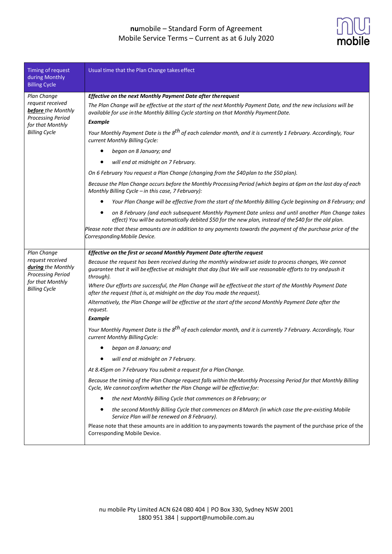

| Timing of request<br>during Monthly<br><b>Billing Cycle</b>                                                    | Usual time that the Plan Change takes effect                                                                                                                                                                                            |
|----------------------------------------------------------------------------------------------------------------|-----------------------------------------------------------------------------------------------------------------------------------------------------------------------------------------------------------------------------------------|
| Plan Change                                                                                                    | Effective on the next Monthly Payment Date after therequest                                                                                                                                                                             |
| request received<br>before the Monthly<br><b>Processing Period</b><br>for that Monthly<br><b>Billing Cycle</b> | The Plan Change will be effective at the start of the next Monthly Payment Date, and the new inclusions will be<br>available for use in the Monthly Billing Cycle starting on that Monthly Payment Date.<br><b>Example</b>              |
|                                                                                                                | Your Monthly Payment Date is the 8 <sup>th</sup> of each calendar month, and it is currently 1 February. Accordingly, Your<br>current Monthly Billing Cycle:                                                                            |
|                                                                                                                | began on 8 January; and                                                                                                                                                                                                                 |
|                                                                                                                | will end at midnight on 7 February.                                                                                                                                                                                                     |
|                                                                                                                | On 6 February You request a Plan Change (changing from the \$40 plan to the \$50 plan).                                                                                                                                                 |
|                                                                                                                | Because the Plan Change occurs before the Monthly Processing Period (which begins at 6pm on the last day of each<br>Monthly Billing Cycle - in this case, 7 February):                                                                  |
|                                                                                                                | Your Plan Change will be effective from the start of the Monthly Billing Cycle beginning on 8 February; and                                                                                                                             |
|                                                                                                                | on 8 February (and each subsequent Monthly Payment Date unless and until another Plan Change takes<br>effect) You will be automatically debited \$50 for the new plan, instead of the \$40 for the old plan.                            |
|                                                                                                                | Please note that these amounts are in addition to any payments towards the payment of the purchase price of the<br>Corresponding Mobile Device.                                                                                         |
| Plan Change                                                                                                    | Effective on the first or second Monthly Payment Date afterthe request                                                                                                                                                                  |
| request received<br>during the Monthly<br><b>Processing Period</b><br>for that Monthly<br><b>Billing Cycle</b> | Because the request has been received during the monthly window set aside to process changes, We cannot<br>guarantee that it will be effective at midnight that day (but We will use reasonable efforts to try and push it<br>through). |
|                                                                                                                | Where Our efforts are successful, the Plan Change will be effective at the start of the Monthly Payment Date<br>after the request (that is, at midnight on the day You made the request).                                               |
|                                                                                                                | Alternatively, the Plan Change will be effective at the start of the second Monthly Payment Date after the<br>request.                                                                                                                  |
|                                                                                                                | <b>Example</b>                                                                                                                                                                                                                          |
|                                                                                                                | Your Monthly Payment Date is the 8 <sup>th</sup> of each calendar month, and it is currently 7 February. Accordingly, Your<br>current Monthly Billing Cycle:                                                                            |
|                                                                                                                | began on 8 January; and                                                                                                                                                                                                                 |
|                                                                                                                | will end at midnight on 7 February.                                                                                                                                                                                                     |
|                                                                                                                | At 8.45pm on 7 February You submit a request for a Plan Change.                                                                                                                                                                         |
|                                                                                                                | Because the timing of the Plan Change request falls within the Monthly Processing Period for that Monthly Billing<br>Cycle, We cannot confirm whether the Plan Change will be effective for:                                            |
|                                                                                                                | the next Monthly Billing Cycle that commences on 8 February; or<br>٠                                                                                                                                                                    |
|                                                                                                                | the second Monthly Billing Cycle that commences on 8 March (in which case the pre-existing Mobile<br>Service Plan will be renewed on 8 February).                                                                                       |
|                                                                                                                | Please note that these amounts are in addition to any payments towards the payment of the purchase price of the<br>Corresponding Mobile Device.                                                                                         |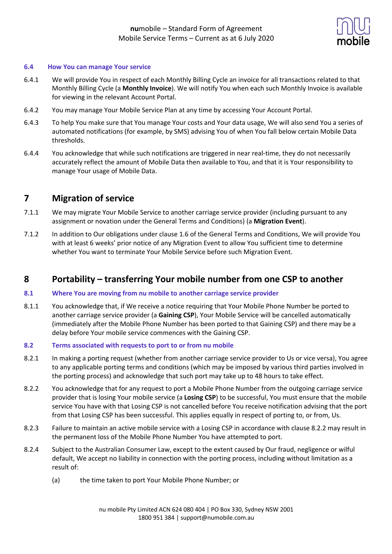

#### **6.4 How You can manage Your service**

- 6.4.1 We will provide You in respect of each Monthly Billing Cycle an invoice for all transactions related to that Monthly Billing Cycle (a **Monthly Invoice**). We will notify You when each such Monthly Invoice is available for viewing in the relevant Account Portal.
- 6.4.2 You may manage Your Mobile Service Plan at any time by accessing Your Account Portal.
- 6.4.3 To help You make sure that You manage Your costs and Your data usage, We will also send You a series of automated notifications (for example, by SMS) advising You of when You fall below certain Mobile Data thresholds.
- 6.4.4 You acknowledge that while such notifications are triggered in near real-time, they do not necessarily accurately reflect the amount of Mobile Data then available to You, and that it is Your responsibility to manage Your usage of Mobile Data.

### **7 Migration of service**

- 7.1.1 We may migrate Your Mobile Service to another carriage service provider (including pursuant to any assignment or novation under the General Terms and Conditions) (a **Migration Event**).
- 7.1.2 In addition to Our obligations under clause 1.6 of the General Terms and Conditions, We will provide You with at least 6 weeks' prior notice of any Migration Event to allow You sufficient time to determine whether You want to terminate Your Mobile Service before such Migration Event.

### **8 Portability – transferring Your mobile number from one CSP to another**

#### **8.1 Where You are moving from nu mobile to another carriage service provider**

8.1.1 You acknowledge that, if We receive a notice requiring that Your Mobile Phone Number be ported to another carriage service provider (a **Gaining CSP**), Your Mobile Service will be cancelled automatically (immediately after the Mobile Phone Number has been ported to that Gaining CSP) and there may be a delay before Your mobile service commences with the Gaining CSP.

#### **8.2 Terms associated with requests to port to or from nu mobile**

- 8.2.1 In making a porting request (whether from another carriage service provider to Us or vice versa), You agree to any applicable porting terms and conditions (which may be imposed by various third parties involved in the porting process) and acknowledge that such port may take up to 48 hours to take effect.
- 8.2.2 You acknowledge that for any request to port a Mobile Phone Number from the outgoing carriage service provider that is losing Your mobile service (a **Losing CSP**) to be successful, You must ensure that the mobile service You have with that Losing CSP is not cancelled before You receive notification advising that the port from that Losing CSP has been successful. This applies equally in respect of porting to, or from, Us.
- 8.2.3 Failure to maintain an active mobile service with a Losing CSP in accordance with clause 8.2.2 may result in the permanent loss of the Mobile Phone Number You have attempted to port.
- 8.2.4 Subject to the Australian Consumer Law, except to the extent caused by Our fraud, negligence or wilful default, We accept no liability in connection with the porting process, including without limitation as a result of:
	- (a) the time taken to port Your Mobile Phone Number; or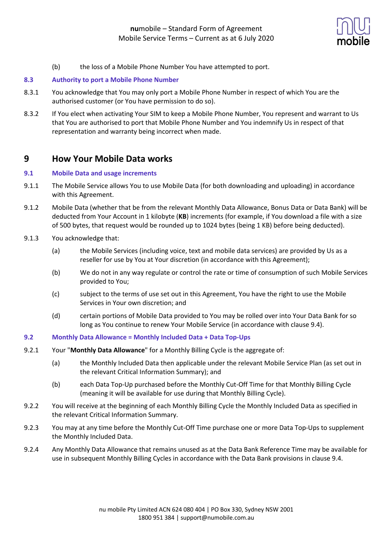

(b) the loss of a Mobile Phone Number You have attempted to port.

### **8.3 Authority to port a Mobile Phone Number**

- 8.3.1 You acknowledge that You may only port a Mobile Phone Number in respect of which You are the authorised customer (or You have permission to do so).
- 8.3.2 If You elect when activating Your SIM to keep a Mobile Phone Number, You represent and warrant to Us that You are authorised to port that Mobile Phone Number and You indemnify Us in respect of that representation and warranty being incorrect when made.

### **9 How Your Mobile Data works**

### **9.1 Mobile Data and usage increments**

- 9.1.1 The Mobile Service allows You to use Mobile Data (for both downloading and uploading) in accordance with this Agreement.
- 9.1.2 Mobile Data (whether that be from the relevant Monthly Data Allowance, Bonus Data or Data Bank) will be deducted from Your Account in 1 kilobyte (**KB**) increments (for example, if You download a file with a size of 500 bytes, that request would be rounded up to 1024 bytes (being 1 KB) before being deducted).
- 9.1.3 You acknowledge that:
	- (a) the Mobile Services (including voice, text and mobile data services) are provided by Us as a reseller for use by You at Your discretion (in accordance with this Agreement);
	- (b) We do not in any way regulate or control the rate or time of consumption of such Mobile Services provided to You;
	- (c) subject to the terms of use set out in this Agreement, You have the right to use the Mobile Services in Your own discretion; and
	- (d) certain portions of Mobile Data provided to You may be rolled over into Your Data Bank for so long as You continue to renew Your Mobile Service (in accordance with clause 9.4).
- **9.2 Monthly Data Allowance = Monthly Included Data + Data Top-Ups**
- 9.2.1 Your "**Monthly Data Allowance**" for a Monthly Billing Cycle is the aggregate of:
	- (a) the Monthly Included Data then applicable under the relevant Mobile Service Plan (as set out in the relevant Critical Information Summary); and
	- (b) each Data Top-Up purchased before the Monthly Cut-Off Time for that Monthly Billing Cycle (meaning it will be available for use during that Monthly Billing Cycle).
- 9.2.2 You will receive at the beginning of each Monthly Billing Cycle the Monthly Included Data as specified in the relevant Critical Information Summary.
- 9.2.3 You may at any time before the Monthly Cut-Off Time purchase one or more Data Top-Ups to supplement the Monthly Included Data.
- 9.2.4 Any Monthly Data Allowance that remains unused as at the Data Bank Reference Time may be available for use in subsequent Monthly Billing Cycles in accordance with the Data Bank provisions in clause 9.4.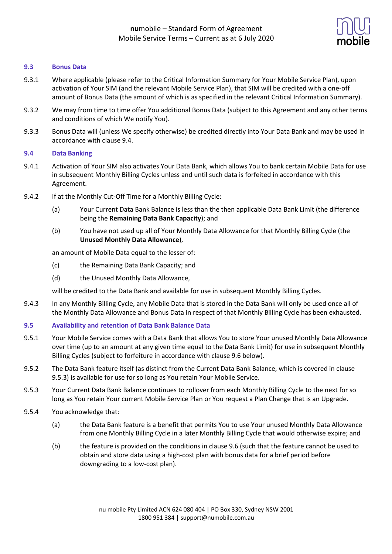

#### **9.3 Bonus Data**

- 9.3.1 Where applicable (please refer to the Critical Information Summary for Your Mobile Service Plan), upon activation of Your SIM (and the relevant Mobile Service Plan), that SIM will be credited with a one-off amount of Bonus Data (the amount of which is as specified in the relevant Critical Information Summary).
- 9.3.2 We may from time to time offer You additional Bonus Data (subject to this Agreement and any other terms and conditions of which We notify You).
- 9.3.3 Bonus Data will (unless We specify otherwise) be credited directly into Your Data Bank and may be used in accordance with clause 9.4.

#### **9.4 Data Banking**

- 9.4.1 Activation of Your SIM also activates Your Data Bank, which allows You to bank certain Mobile Data for use in subsequent Monthly Billing Cycles unless and until such data is forfeited in accordance with this Agreement.
- 9.4.2 If at the Monthly Cut-Off Time for a Monthly Billing Cycle:
	- (a) Your Current Data Bank Balance is less than the then applicable Data Bank Limit (the difference being the **Remaining Data Bank Capacity**); and
	- (b) You have not used up all of Your Monthly Data Allowance for that Monthly Billing Cycle (the **Unused Monthly Data Allowance**),

an amount of Mobile Data equal to the lesser of:

- (c) the Remaining Data Bank Capacity; and
- (d) the Unused Monthly Data Allowance,

will be credited to the Data Bank and available for use in subsequent Monthly Billing Cycles.

9.4.3 In any Monthly Billing Cycle, any Mobile Data that is stored in the Data Bank will only be used once all of the Monthly Data Allowance and Bonus Data in respect of that Monthly Billing Cycle has been exhausted.

#### **9.5 Availability and retention of Data Bank Balance Data**

- 9.5.1 Your Mobile Service comes with a Data Bank that allows You to store Your unused Monthly Data Allowance over time (up to an amount at any given time equal to the Data Bank Limit) for use in subsequent Monthly Billing Cycles (subject to forfeiture in accordance with clause 9.6 below).
- 9.5.2 The Data Bank feature itself (as distinct from the Current Data Bank Balance, which is covered in clause 9.5.3) is available for use for so long as You retain Your Mobile Service.
- 9.5.3 Your Current Data Bank Balance continues to rollover from each Monthly Billing Cycle to the next for so long as You retain Your current Mobile Service Plan or You request a Plan Change that is an Upgrade.
- 9.5.4 You acknowledge that:
	- (a) the Data Bank feature is a benefit that permits You to use Your unused Monthly Data Allowance from one Monthly Billing Cycle in a later Monthly Billing Cycle that would otherwise expire; and
	- (b) the feature is provided on the conditions in clause 9.6 (such that the feature cannot be used to obtain and store data using a high-cost plan with bonus data for a brief period before downgrading to a low-cost plan).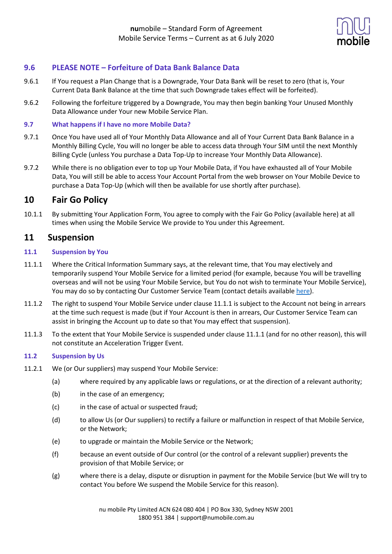

### **9.6 PLEASE NOTE – Forfeiture of Data Bank Balance Data**

- 9.6.1 If You request a Plan Change that is a Downgrade, Your Data Bank will be reset to zero (that is, Your Current Data Bank Balance at the time that such Downgrade takes effect will be forfeited).
- 9.6.2 Following the forfeiture triggered by a Downgrade, You may then begin banking Your Unused Monthly Data Allowance under Your new Mobile Service Plan.

### **9.7 What happens if I have no more Mobile Data?**

- 9.7.1 Once You have used all of Your Monthly Data Allowance and all of Your Current Data Bank Balance in a Monthly Billing Cycle, You will no longer be able to access data through Your SIM until the next Monthly Billing Cycle (unless You purchase a Data Top-Up to increase Your Monthly Data Allowance).
- 9.7.2 While there is no obligation ever to top up Your Mobile Data, if You have exhausted all of Your Mobile Data, You will still be able to access Your Account Portal from the web browser on Your Mobile Device to purchase a Data Top-Up (which will then be available for use shortly after purchase).

## **10 Fair Go Policy**

10.1.1 By submitting Your Application Form, You agree to comply with the Fair Go Policy (available here) at all times when using the Mobile Service We provide to You under this Agreement.

### **11 Suspension**

### **11.1 Suspension by You**

- 11.1.1 Where the Critical Information Summary says, at the relevant time, that You may electively and temporarily suspend Your Mobile Service for a limited period (for example, because You will be travelling overseas and will not be using Your Mobile Service, but You do not wish to terminate Your Mobile Service), You may do so by contacting Our Customer Service Team (contact details available here).
- 11.1.2 The right to suspend Your Mobile Service under clause 11.1.1 is subject to the Account not being in arrears at the time such request is made (but if Your Account is then in arrears, Our Customer Service Team can assist in bringing the Account up to date so that You may effect that suspension).
- 11.1.3 To the extent that Your Mobile Service is suspended under clause 11.1.1 (and for no other reason), this will not constitute an Acceleration Trigger Event.

### **11.2 Suspension by Us**

- 11.2.1 We (or Our suppliers) may suspend Your Mobile Service:
	- (a) where required by any applicable laws or regulations, or at the direction of a relevant authority;
	- (b) in the case of an emergency;
	- (c) in the case of actual or suspected fraud;
	- (d) to allow Us (or Our suppliers) to rectify a failure or malfunction in respect of that Mobile Service, or the Network;
	- (e) to upgrade or maintain the Mobile Service or the Network;
	- (f) because an event outside of Our control (or the control of a relevant supplier) prevents the provision of that Mobile Service; or
	- (g) where there is a delay, dispute or disruption in payment for the Mobile Service (but We will try to contact You before We suspend the Mobile Service for this reason).

nu mobile Pty Limited ACN 624 080 404 | PO Box 330, Sydney NSW 2001 1800 951 384 | support@numobile.com.au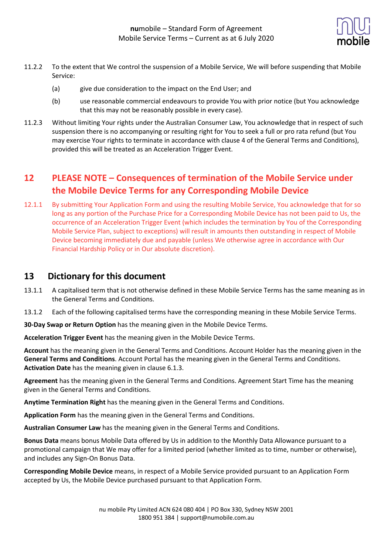

- 11.2.2 To the extent that We control the suspension of a Mobile Service, We will before suspending that Mobile Service:
	- (a) give due consideration to the impact on the End User; and
	- (b) use reasonable commercial endeavours to provide You with prior notice (but You acknowledge that this may not be reasonably possible in every case).
- 11.2.3 Without limiting Your rights under the Australian Consumer Law, You acknowledge that in respect of such suspension there is no accompanying or resulting right for You to seek a full or pro rata refund (but You may exercise Your rights to terminate in accordance with clause 4 of the General Terms and Conditions), provided this will be treated as an Acceleration Trigger Event.

# **12 PLEASE NOTE – Consequences of termination of the Mobile Service under the Mobile Device Terms for any Corresponding Mobile Device**

12.1.1 By submitting Your Application Form and using the resulting Mobile Service, You acknowledge that for so long as any portion of the Purchase Price for a Corresponding Mobile Device has not been paid to Us, the occurrence of an Acceleration Trigger Event (which includes the termination by You of the Corresponding Mobile Service Plan, subject to exceptions) will result in amounts then outstanding in respect of Mobile Device becoming immediately due and payable (unless We otherwise agree in accordance with Our Financial Hardship Policy or in Our absolute discretion).

## **13 Dictionary for this document**

- 13.1.1 A capitalised term that is not otherwise defined in these Mobile Service Terms has the same meaning as in the General Terms and Conditions.
- 13.1.2 Each of the following capitalised terms have the corresponding meaning in these Mobile Service Terms.

**30-Day Swap or Return Option** has the meaning given in the Mobile Device Terms.

**Acceleration Trigger Event** has the meaning given in the Mobile Device Terms.

**Account** has the meaning given in the General Terms and Conditions. Account Holder has the meaning given in the **General Terms and Conditions**. Account Portal has the meaning given in the General Terms and Conditions. **Activation Date** has the meaning given in clause 6.1.3.

**Agreement** has the meaning given in the General Terms and Conditions. Agreement Start Time has the meaning given in the General Terms and Conditions.

**Anytime Termination Right** has the meaning given in the General Terms and Conditions.

**Application Form** has the meaning given in the General Terms and Conditions.

**Australian Consumer Law** has the meaning given in the General Terms and Conditions.

**Bonus Data** means bonus Mobile Data offered by Us in addition to the Monthly Data Allowance pursuant to a promotional campaign that We may offer for a limited period (whether limited as to time, number or otherwise), and includes any Sign-On Bonus Data.

**Corresponding Mobile Device** means, in respect of a Mobile Service provided pursuant to an Application Form accepted by Us, the Mobile Device purchased pursuant to that Application Form.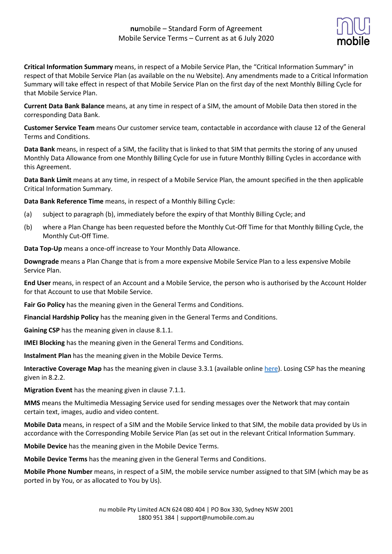

**Critical Information Summary** means, in respect of a Mobile Service Plan, the "Critical Information Summary" in respect of that Mobile Service Plan (as available on the nu Website). Any amendments made to a Critical Information Summary will take effect in respect of that Mobile Service Plan on the first day of the next Monthly Billing Cycle for that Mobile Service Plan.

**Current Data Bank Balance** means, at any time in respect of a SIM, the amount of Mobile Data then stored in the corresponding Data Bank.

**Customer Service Team** means Our customer service team, contactable in accordance with clause 12 of the General Terms and Conditions.

**Data Bank** means, in respect of a SIM, the facility that is linked to that SIM that permits the storing of any unused Monthly Data Allowance from one Monthly Billing Cycle for use in future Monthly Billing Cycles in accordance with this Agreement.

**Data Bank Limit** means at any time, in respect of a Mobile Service Plan, the amount specified in the then applicable Critical Information Summary.

**Data Bank Reference Time** means, in respect of a Monthly Billing Cycle:

- (a) subject to paragraph (b), immediately before the expiry of that Monthly Billing Cycle; and
- (b) where a Plan Change has been requested before the Monthly Cut-Off Time for that Monthly Billing Cycle, the Monthly Cut-Off Time.

**Data Top-Up** means a once-off increase to Your Monthly Data Allowance.

**Downgrade** means a Plan Change that is from a more expensive Mobile Service Plan to a less expensive Mobile Service Plan.

**End User** means, in respect of an Account and a Mobile Service, the person who is authorised by the Account Holder for that Account to use that Mobile Service.

**Fair Go Policy** has the meaning given in the General Terms and Conditions.

**Financial Hardship Policy** has the meaning given in the General Terms and Conditions.

**Gaining CSP** has the meaning given in clause 8.1.1.

**IMEI Blocking** has the meaning given in the General Terms and Conditions.

**Instalment Plan** has the meaning given in the Mobile Device Terms.

**Interactive Coverage Map** has the meaning given in clause 3.3.1 (available online here). Losing CSP has the meaning given in 8.2.2.

**Migration Event** has the meaning given in clause 7.1.1.

**MMS** means the Multimedia Messaging Service used for sending messages over the Network that may contain certain text, images, audio and video content.

**Mobile Data** means, in respect of a SIM and the Mobile Service linked to that SIM, the mobile data provided by Us in accordance with the Corresponding Mobile Service Plan (as set out in the relevant Critical Information Summary.

**Mobile Device** has the meaning given in the Mobile Device Terms.

**Mobile Device Terms** has the meaning given in the General Terms and Conditions.

**Mobile Phone Number** means, in respect of a SIM, the mobile service number assigned to that SIM (which may be as ported in by You, or as allocated to You by Us).